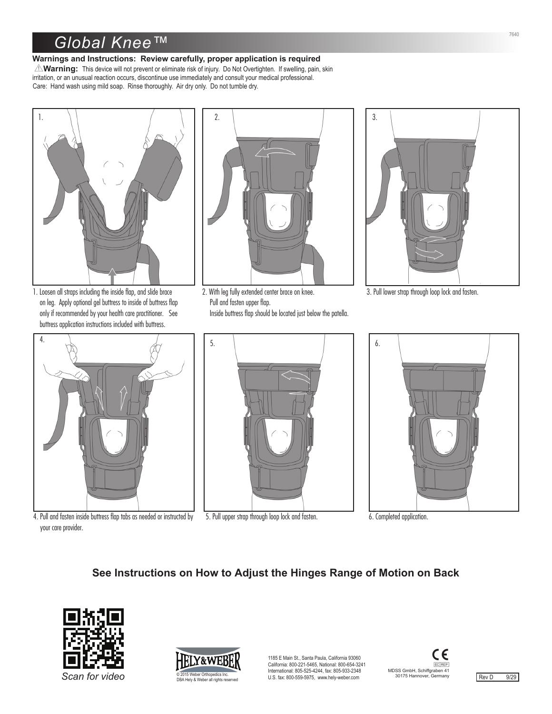## *Global Knee™*

## **Warnings and Instructions: Review carefully, proper application is required**

**AVarning:** This device will not prevent or eliminate risk of injury. Do Not Overtighten. If swelling, pain, skin irritation, or an unusual reaction occurs, discontinue use immediately and consult your medical professional. Care: Hand wash using mild soap. Rinse thoroughly. Air dry only. Do not tumble dry.



1. Loosen all straps including the inside flap, and slide brace on leg. Apply optional gel buttress to inside of buttress flap only if recommended by your health care practitioner. See buttress application instructions included with buttress.



4. Pull and fasten inside buttress flap tabs as needed or instructed by your care provider.



2. With leg fully extended center brace on knee. Pull and fasten upper flap.

Inside buttress flap should be located just below the patella.



3. Pull lower strap through loop lock and fasten.



5. Pull upper strap through loop lock and fasten.



6. Completed application.

## **See Instructions on How to Adjust the Hinges Range of Motion on Back**





1185 E Main St., Santa Paula, California 93060 California: 800-221-5465, National: 800-654-3241 International: 805-525-4244, fax: 805-933-2348 Can for video **3000 COLL ACCO COLL ACCOMPON CONSTRATIVE** SERVIT STATED U.S. fax: 800-559-5975, www.hely-weber.com 30175 Hannover, Germany Rev D 9/29